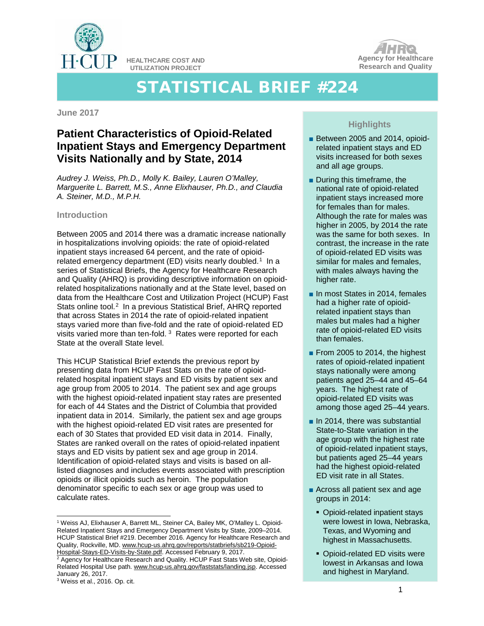

**HEALTHCARE COST AND UTILIZATION PROJECT**

# STATISTICAL BRIEF #224

**June 2017**

# **Patient Characteristics of Opioid-Related Inpatient Stays and Emergency Department Visits Nationally and by State, 2014**

*Audrey J. Weiss, Ph.D., Molly K. Bailey, Lauren O'Malley, Marguerite L. Barrett, M.S., Anne Elixhauser, Ph.D., and Claudia A. Steiner, M.D., M.P.H.*

# **Introduction**

Between 2005 and 2014 there was a dramatic increase nationally in hospitalizations involving opioids: the rate of opioid-related inpatient stays increased 64 percent, and the rate of opioidrelated emergency department (ED) visits nearly doubled.<sup>1</sup> In a series of Statistical Briefs, the Agency for Healthcare Research and Quality (AHRQ) is providing descriptive information on opioidrelated hospitalizations nationally and at the State level, based on data from the Healthcare Cost and Utilization Project (HCUP) Fast Stats online tool.<sup>[2](#page-0-1)</sup> In a previous Statistical Brief, AHRQ reported that across States in 2014 the rate of opioid-related inpatient stays varied more than five-fold and the rate of opioid-related ED visits varied more than ten-fold. [3](#page-0-2) Rates were reported for each State at the overall State level.

This HCUP Statistical Brief extends the previous report by presenting data from HCUP Fast Stats on the rate of opioidrelated hospital inpatient stays and ED visits by patient sex and age group from 2005 to 2014. The patient sex and age groups with the highest opioid-related inpatient stay rates are presented for each of 44 States and the District of Columbia that provided inpatient data in 2014. Similarly, the patient sex and age groups with the highest opioid-related ED visit rates are presented for each of 30 States that provided ED visit data in 2014. Finally, States are ranked overall on the rates of opioid-related inpatient stays and ED visits by patient sex and age group in 2014. Identification of opioid-related stays and visits is based on alllisted diagnoses and includes events associated with prescription opioids or illicit opioids such as heroin. The population denominator specific to each sex or age group was used to calculate rates.



**Agency for Healthcare Research and Quality**

- Between 2005 and 2014, opioidrelated inpatient stays and ED visits increased for both sexes and all age groups.
- During this timeframe, the national rate of opioid-related inpatient stays increased more for females than for males. Although the rate for males was higher in 2005, by 2014 the rate was the same for both sexes. In contrast, the increase in the rate of opioid-related ED visits was similar for males and females, with males always having the higher rate.
- In most States in 2014, females had a higher rate of opioidrelated inpatient stays than males but males had a higher rate of opioid-related ED visits than females.
- From 2005 to 2014, the highest rates of opioid-related inpatient stays nationally were among patients aged 25–44 and 45–64 years. The highest rate of opioid-related ED visits was among those aged 25–44 years.
- In 2014, there was substantial State-to-State variation in the age group with the highest rate of opioid-related inpatient stays, but patients aged 25–44 years had the highest opioid-related ED visit rate in all States.
- Across all patient sex and age groups in 2014:
	- Opioid-related inpatient stays were lowest in Iowa, Nebraska, Texas, and Wyoming and highest in Massachusetts.
	- Opioid-related ED visits were lowest in Arkansas and Iowa and highest in Maryland.

<span id="page-0-0"></span> <sup>1</sup> Weiss AJ, Elixhauser A, Barrett ML, Steiner CA, Bailey MK, O'Malley L. Opioid-Related Inpatient Stays and Emergency Department Visits by State, 2009–2014. HCUP Statistical Brief #219. December 2016. Agency for Healthcare Research and Quality, Rockville, MD[. www.hcup-us.ahrq.gov/reports/statbriefs/sb219-Opioid-](http://www.hcup-us.ahrq.gov/reports/statbriefs/sb219-Opioid-Hospital-Stays-ED-Visits-by-State.pdf)[Hospital-Stays-ED-Visits-by-State.pdf.](http://www.hcup-us.ahrq.gov/reports/statbriefs/sb219-Opioid-Hospital-Stays-ED-Visits-by-State.pdf) Accessed February 9, 2017.

<span id="page-0-1"></span><sup>&</sup>lt;sup>2</sup> Agency for Healthcare Research and Quality. HCUP Fast Stats Web site, Opioid-Related Hospital Use path[. www.hcup-us.ahrq.gov/faststats/landing.jsp.](http://www.hcup-us.ahrq.gov/faststats/landing.jsp) Accessed January 26, 2017.

<span id="page-0-2"></span><sup>3</sup> Weiss et al., 2016. Op. cit.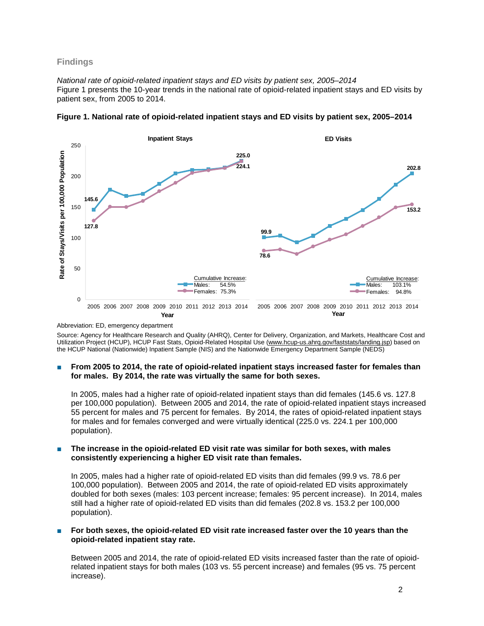# **Findings**

*National rate of opioid-related inpatient stays and ED visits by patient sex, 2005–2014* Figure 1 presents the 10-year trends in the national rate of opioid-related inpatient stays and ED visits by patient sex, from 2005 to 2014.





Source: Agency for Healthcare Research and Quality (AHRQ), Center for Delivery, Organization, and Markets, Healthcare Cost and Utilization Project (HCUP), HCUP Fast Stats, Opioid-Related Hospital Use [\(www.hcup-us.ahrq.gov/faststats/landing.jsp\)](http://www.hcup-us.ahrq.gov/faststats/landing.jsp) based on the HCUP National (Nationwide) Inpatient Sample (NIS) and the Nationwide Emergency Department Sample (NEDS)

#### ■ **From 2005 to 2014, the rate of opioid-related inpatient stays increased faster for females than for males. By 2014, the rate was virtually the same for both sexes.**

In 2005, males had a higher rate of opioid-related inpatient stays than did females (145.6 vs. 127.8 per 100,000 population). Between 2005 and 2014, the rate of opioid-related inpatient stays increased 55 percent for males and 75 percent for females. By 2014, the rates of opioid-related inpatient stays for males and for females converged and were virtually identical (225.0 vs. 224.1 per 100,000 population).

# ■ **The increase in the opioid-related ED visit rate was similar for both sexes, with males consistently experiencing a higher ED visit rate than females.**

In 2005, males had a higher rate of opioid-related ED visits than did females (99.9 vs. 78.6 per 100,000 population). Between 2005 and 2014, the rate of opioid-related ED visits approximately doubled for both sexes (males: 103 percent increase; females: 95 percent increase). In 2014, males still had a higher rate of opioid-related ED visits than did females (202.8 vs. 153.2 per 100,000 population).

# ■ **For both sexes, the opioid-related ED visit rate increased faster over the 10 years than the opioid-related inpatient stay rate.**

Between 2005 and 2014, the rate of opioid-related ED visits increased faster than the rate of opioidrelated inpatient stays for both males (103 vs. 55 percent increase) and females (95 vs. 75 percent increase).

Abbreviation: ED, emergency department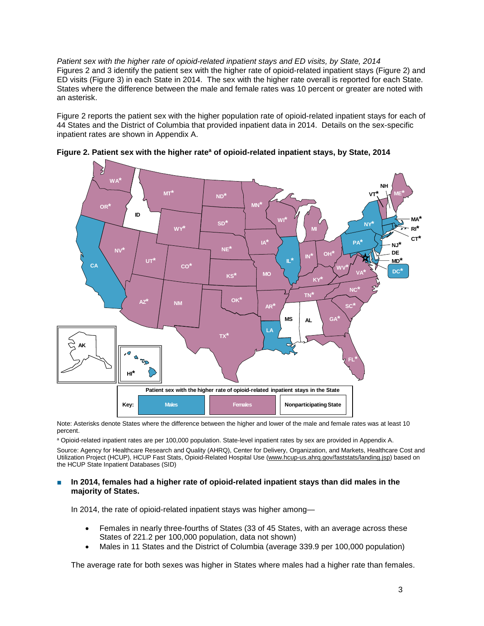*Patient sex with the higher rate of opioid-related inpatient stays and ED visits, by State, 2014* Figures 2 and 3 identify the patient sex with the higher rate of opioid-related inpatient stays (Figure 2) and ED visits (Figure 3) in each State in 2014. The sex with the higher rate overall is reported for each State. States where the difference between the male and female rates was 10 percent or greater are noted with an asterisk.

Figure 2 reports the patient sex with the higher population rate of opioid-related inpatient stays for each of 44 States and the District of Columbia that provided inpatient data in 2014. Details on the sex-specific inpatient rates are shown in Appendix A.





Note: Asterisks denote States where the difference between the higher and lower of the male and female rates was at least 10 percent.

a Opioid-related inpatient rates are per 100,000 population. State-level inpatient rates by sex are provided in Appendix A.

Source: Agency for Healthcare Research and Quality (AHRQ), Center for Delivery, Organization, and Markets, Healthcare Cost and Utilization Project (HCUP), HCUP Fast Stats, Opioid-Related Hospital Use [\(www.hcup-us.ahrq.gov/faststats/landing.jsp\)](http://www.hcup-us.ahrq.gov/faststats/landing.jsp) based on the HCUP State Inpatient Databases (SID)

#### ■ **In 2014, females had a higher rate of opioid-related inpatient stays than did males in the majority of States.**

In 2014, the rate of opioid-related inpatient stays was higher among—

- Females in nearly three-fourths of States (33 of 45 States, with an average across these States of 221.2 per 100,000 population, data not shown)
- Males in 11 States and the District of Columbia (average 339.9 per 100,000 population)

The average rate for both sexes was higher in States where males had a higher rate than females.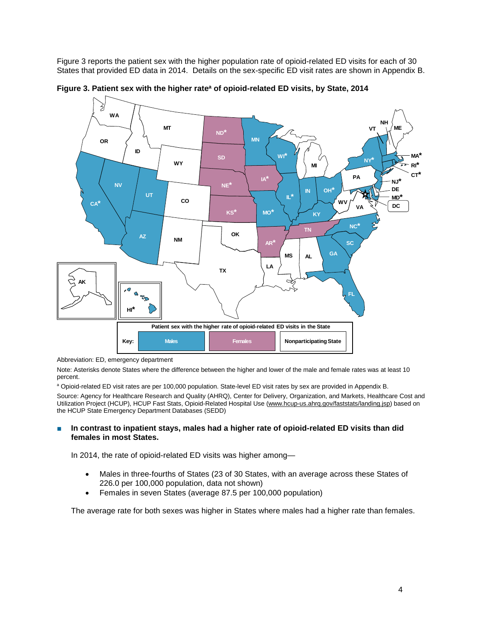Figure 3 reports the patient sex with the higher population rate of opioid-related ED visits for each of 30 States that provided ED data in 2014. Details on the sex-specific ED visit rates are shown in Appendix B.



**Figure 3. Patient sex with the higher ratea of opioid-related ED visits, by State, 2014**

Abbreviation: ED, emergency department

Note: Asterisks denote States where the difference between the higher and lower of the male and female rates was at least 10 percent.

a Opioid-related ED visit rates are per 100,000 population. State-level ED visit rates by sex are provided in Appendix B.

Source: Agency for Healthcare Research and Quality (AHRQ), Center for Delivery, Organization, and Markets, Healthcare Cost and Utilization Project (HCUP), HCUP Fast Stats, Opioid-Related Hospital Use [\(www.hcup-us.ahrq.gov/faststats/landing.jsp\)](http://www.hcup-us.ahrq.gov/faststats/landing.jsp) based on the HCUP State Emergency Department Databases (SEDD)

#### ■ In contrast to inpatient stays, males had a higher rate of opioid-related ED visits than did **females in most States.**

In 2014, the rate of opioid-related ED visits was higher among—

- Males in three-fourths of States (23 of 30 States, with an average across these States of 226.0 per 100,000 population, data not shown)
- Females in seven States (average 87.5 per 100,000 population)

The average rate for both sexes was higher in States where males had a higher rate than females.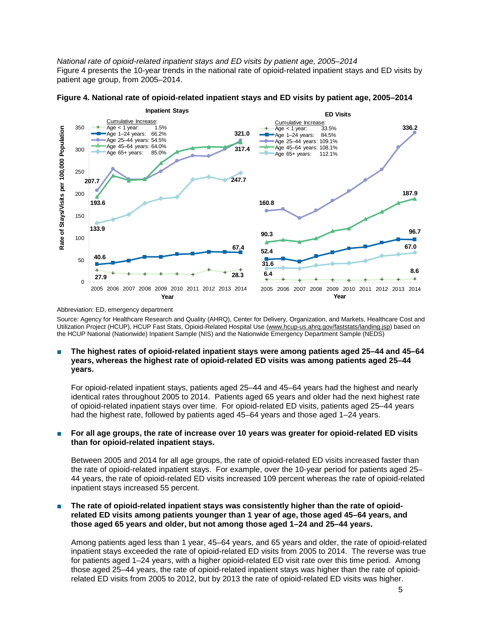*National rate of opioid-related inpatient stays and ED visits by patient age, 2005–2014* Figure 4 presents the 10-year trends in the national rate of opioid-related inpatient stays and ED visits by patient age group, from 2005–2014.





Source: Agency for Healthcare Research and Quality (AHRQ), Center for Delivery, Organization, and Markets, Healthcare Cost and Utilization Project (HCUP), HCUP Fast Stats, Opioid-Related Hospital Use [\(www.hcup-us.ahrq.gov/faststats/landing.jsp\)](http://www.hcup-us.ahrq.gov/faststats/landing.jsp) based on the HCUP National (Nationwide) Inpatient Sample (NIS) and the Nationwide Emergency Department Sample (NEDS)

■ **The highest rates of opioid-related inpatient stays were among patients aged 25–44 and 45–64 years, whereas the highest rate of opioid-related ED visits was among patients aged 25–44 years.**

For opioid-related inpatient stays, patients aged 25–44 and 45–64 years had the highest and nearly identical rates throughout 2005 to 2014. Patients aged 65 years and older had the next highest rate of opioid-related inpatient stays over time. For opioid-related ED visits, patients aged 25–44 years had the highest rate, followed by patients aged 45–64 years and those aged 1–24 years.

#### For all age groups, the rate of increase over 10 years was greater for opioid-related ED visits **than for opioid-related inpatient stays.**

Between 2005 and 2014 for all age groups, the rate of opioid-related ED visits increased faster than the rate of opioid-related inpatient stays. For example, over the 10-year period for patients aged 25– 44 years, the rate of opioid-related ED visits increased 109 percent whereas the rate of opioid-related inpatient stays increased 55 percent.

**The rate of opioid-related inpatient stays was consistently higher than the rate of opioidrelated ED visits among patients younger than 1 year of age, those aged 45–64 years, and those aged 65 years and older, but not among those aged 1–24 and 25–44 years.**

Among patients aged less than 1 year, 45–64 years, and 65 years and older, the rate of opioid-related inpatient stays exceeded the rate of opioid-related ED visits from 2005 to 2014. The reverse was true for patients aged 1–24 years, with a higher opioid-related ED visit rate over this time period. Among those aged 25–44 years, the rate of opioid-related inpatient stays was higher than the rate of opioidrelated ED visits from 2005 to 2012, but by 2013 the rate of opioid-related ED visits was higher.

Abbreviation: ED, emergency department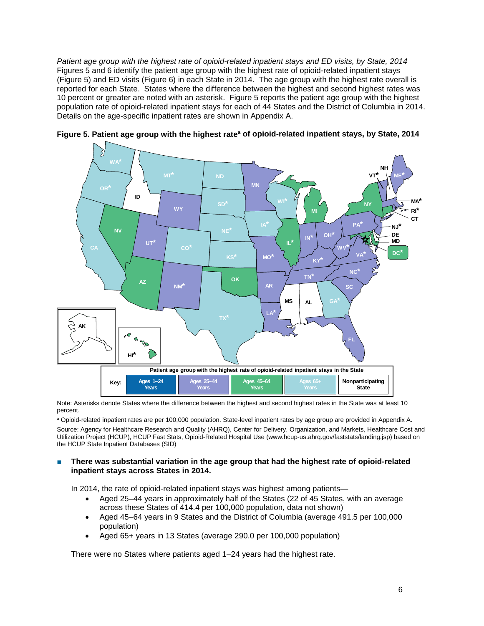*Patient age group with the highest rate of opioid-related inpatient stays and ED visits, by State, 2014* Figures 5 and 6 identify the patient age group with the highest rate of opioid-related inpatient stays (Figure 5) and ED visits (Figure 6) in each State in 2014. The age group with the highest rate overall is reported for each State. States where the difference between the highest and second highest rates was 10 percent or greater are noted with an asterisk. Figure 5 reports the patient age group with the highest population rate of opioid-related inpatient stays for each of 44 States and the District of Columbia in 2014. Details on the age-specific inpatient rates are shown in Appendix A.



**Figure 5. Patient age group with the highest ratea of opioid-related inpatient stays, by State, 2014**

Note: Asterisks denote States where the difference between the highest and second highest rates in the State was at least 10 percent.

a Opioid-related inpatient rates are per 100,000 population. State-level inpatient rates by age group are provided in Appendix A. Source: Agency for Healthcare Research and Quality (AHRQ), Center for Delivery, Organization, and Markets, Healthcare Cost and Utilization Project (HCUP), HCUP Fast Stats, Opioid-Related Hospital Use [\(www.hcup-us.ahrq.gov/faststats/landing.jsp\)](http://www.hcup-us.ahrq.gov/faststats/landing.jsp) based on the HCUP State Inpatient Databases (SID)

#### ■ **There was substantial variation in the age group that had the highest rate of opioid-related inpatient stays across States in 2014.**

In 2014, the rate of opioid-related inpatient stays was highest among patients—

- Aged 25–44 years in approximately half of the States (22 of 45 States, with an average across these States of 414.4 per 100,000 population, data not shown)
- Aged 45–64 years in 9 States and the District of Columbia (average 491.5 per 100,000 population)
- Aged 65+ years in 13 States (average 290.0 per 100,000 population)

There were no States where patients aged 1–24 years had the highest rate.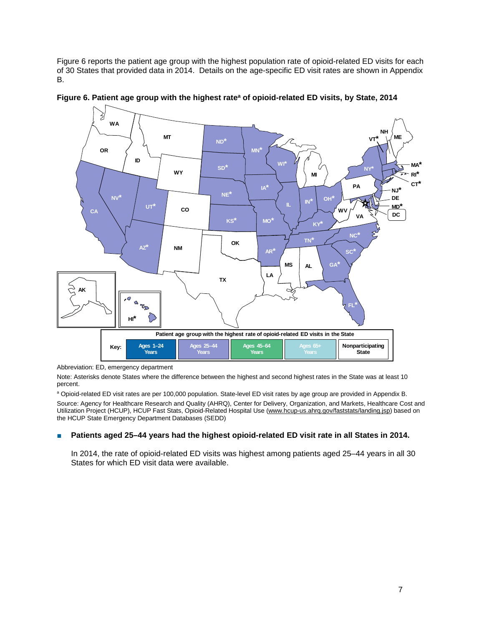Figure 6 reports the patient age group with the highest population rate of opioid-related ED visits for each of 30 States that provided data in 2014. Details on the age-specific ED visit rates are shown in Appendix B.



Figure 6. Patient age group with the highest rate<sup>a</sup> of opioid-related ED visits, by State, 2014

Abbreviation: ED, emergency department

Note: Asterisks denote States where the difference between the highest and second highest rates in the State was at least 10 percent.

a Opioid-related ED visit rates are per 100,000 population. State-level ED visit rates by age group are provided in Appendix B. Source: Agency for Healthcare Research and Quality (AHRQ), Center for Delivery, Organization, and Markets, Healthcare Cost and Utilization Project (HCUP), HCUP Fast Stats, Opioid-Related Hospital Use [\(www.hcup-us.ahrq.gov/faststats/landing.jsp\)](http://www.hcup-us.ahrq.gov/faststats/landing.jsp) based on the HCUP State Emergency Department Databases (SEDD)

# ■ Patients aged 25–44 years had the highest opioid-related ED visit rate in all States in 2014.

In 2014, the rate of opioid-related ED visits was highest among patients aged 25–44 years in all 30 States for which ED visit data were available.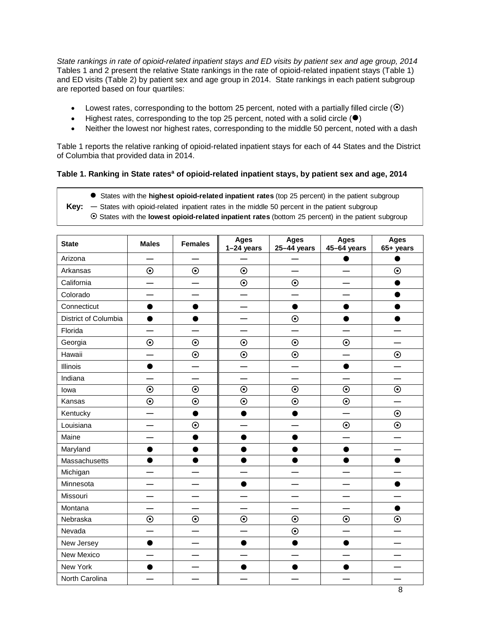*State rankings in rate of opioid-related inpatient stays and ED visits by patient sex and age group, 2014* Tables 1 and 2 present the relative State rankings in the rate of opioid-related inpatient stays (Table 1) and ED visits (Table 2) by patient sex and age group in 2014. State rankings in each patient subgroup are reported based on four quartiles:

- Lowest rates, corresponding to the bottom 25 percent, noted with a partially filled circle  $(\odot)$
- Highest rates, corresponding to the top 25 percent, noted with a solid circle  $(①)$
- Neither the lowest nor highest rates, corresponding to the middle 50 percent, noted with a dash

Table 1 reports the relative ranking of opioid-related inpatient stays for each of 44 States and the District of Columbia that provided data in 2014.

# Table 1. Ranking in State rates<sup>a</sup> of opioid-related inpatient stays, by patient sex and age, 2014

States with the **highest opioid-related inpatient rates** (top 25 percent) in the patient subgroup

**Key:** — States with opioid-related inpatient rates in the middle 50 percent in the patient subgroup States with the **lowest opioid-related inpatient rates** (bottom 25 percent) in the patient subgroup

| <b>State</b>         | <b>Males</b>       | <b>Females</b>           | <b>Ages</b><br>$1-24$ years | <b>Ages</b><br>$25 - 44$ years | <b>Ages</b><br>$45 - 64$ years | <b>Ages</b><br>65+ years |
|----------------------|--------------------|--------------------------|-----------------------------|--------------------------------|--------------------------------|--------------------------|
| Arizona              |                    |                          |                             |                                |                                |                          |
| Arkansas             | $\odot$            | $\odot$                  | $\odot$                     |                                |                                | $\odot$                  |
| California           | $\equiv$           | $\overline{\phantom{0}}$ | $\odot$                     | $\odot$                        |                                |                          |
| Colorado             |                    |                          |                             |                                |                                |                          |
| Connecticut          | ●                  | ●                        |                             | ●                              |                                |                          |
| District of Columbia | ●                  |                          |                             | $\odot$                        |                                |                          |
| Florida              |                    |                          |                             | -                              |                                |                          |
| Georgia              | $\odot$            | $\odot$                  | $\odot$                     | $\odot$                        | $\odot$                        |                          |
| Hawaii               |                    | $\odot$                  | $\odot$                     | $\odot$                        |                                | $\odot$                  |
| Illinois             | $\bullet$          |                          | ▃                           |                                |                                |                          |
| Indiana              |                    | —                        |                             |                                |                                |                          |
| lowa                 | $\overline{\odot}$ | $\odot$                  | $\odot$                     | $\odot$                        | $\overline{\odot}$             | $\odot$                  |
| Kansas               | $\odot$            | $\odot$                  | $\odot$                     | $\odot$                        | $\odot$                        |                          |
| Kentucky             |                    | $\bullet$                | $\bullet$                   | $\bullet$                      |                                | $\odot$                  |
| Louisiana            |                    | $\odot$                  |                             |                                | $\boldsymbol{\odot}$           | $\odot$                  |
| Maine                |                    | $\bullet$                | ●                           | $\bullet$                      |                                |                          |
| Maryland             | 0                  |                          |                             |                                |                                |                          |
| Massachusetts        | $\bullet$          | ●                        |                             | ●                              | ●                              | $\bullet$                |
| Michigan             |                    |                          |                             |                                |                                |                          |
| Minnesota            |                    |                          |                             |                                |                                | $\bullet$                |
| Missouri             |                    |                          |                             |                                |                                |                          |
| Montana              |                    |                          |                             |                                |                                | $\bullet$                |
| Nebraska             | $\odot$            | $\odot$                  | $\odot$                     | $\odot$                        | $\odot$                        | $\odot$                  |
| Nevada               |                    |                          |                             | $\odot$                        |                                |                          |
| New Jersey           | $\bullet$          |                          | ●                           | 0                              | $\bullet$                      |                          |
| New Mexico           |                    |                          |                             |                                |                                |                          |
| New York             | $\bullet$          |                          | ●                           | ●                              | $\bullet$                      |                          |
| North Carolina       |                    |                          |                             |                                |                                |                          |
|                      |                    |                          |                             |                                |                                | $\overline{8}$           |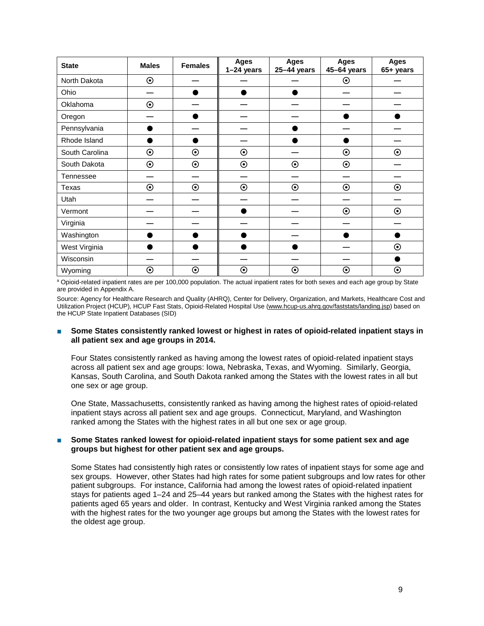| <b>State</b>   | <b>Males</b>         | <b>Females</b>       | <b>Ages</b><br>$1-24$ years | <b>Ages</b><br>25-44 years | <b>Ages</b><br>45-64 years | <b>Ages</b><br>65+ years |
|----------------|----------------------|----------------------|-----------------------------|----------------------------|----------------------------|--------------------------|
| North Dakota   | $\odot$              |                      |                             |                            | $\boldsymbol{\odot}$       |                          |
| Ohio           |                      |                      |                             |                            |                            |                          |
| Oklahoma       | $\odot$              |                      |                             |                            |                            |                          |
| Oregon         |                      |                      |                             |                            |                            |                          |
| Pennsylvania   |                      |                      |                             |                            |                            |                          |
| Rhode Island   |                      |                      |                             |                            |                            |                          |
| South Carolina | $\odot$              | $\odot$              | $\odot$                     |                            | $\odot$                    | $\odot$                  |
| South Dakota   | $\odot$              | $\odot$              | $\boldsymbol{\odot}$        | $\odot$                    | $\boldsymbol{\odot}$       |                          |
| Tennessee      |                      |                      |                             |                            |                            |                          |
| Texas          | $\odot$              | $\odot$              | $\boldsymbol{\odot}$        | $\boldsymbol{\odot}$       | $\odot$                    | $\odot$                  |
| Utah           |                      |                      |                             |                            |                            |                          |
| Vermont        |                      |                      |                             |                            | $\odot$                    | $\odot$                  |
| Virginia       |                      |                      |                             |                            |                            |                          |
| Washington     |                      |                      |                             |                            |                            |                          |
| West Virginia  |                      |                      |                             |                            |                            | $\odot$                  |
| Wisconsin      |                      |                      |                             |                            |                            |                          |
| Wyoming        | $\boldsymbol{\odot}$ | $\boldsymbol{\odot}$ | $\boldsymbol{\odot}$        | $\odot$                    | $\boldsymbol{\odot}$       | $\boldsymbol{\odot}$     |

a Opioid-related inpatient rates are per 100,000 population. The actual inpatient rates for both sexes and each age group by State are provided in Appendix A.

Source: Agency for Healthcare Research and Quality (AHRQ), Center for Delivery, Organization, and Markets, Healthcare Cost and Utilization Project (HCUP), HCUP Fast Stats, Opioid-Related Hospital Use [\(www.hcup-us.ahrq.gov/faststats/landing.jsp\)](http://www.hcup-us.ahrq.gov/faststats/landing.jsp) based on the HCUP State Inpatient Databases (SID)

#### ■ Some States consistently ranked lowest or highest in rates of opioid-related inpatient stays in **all patient sex and age groups in 2014.**

Four States consistently ranked as having among the lowest rates of opioid-related inpatient stays across all patient sex and age groups: Iowa, Nebraska, Texas, and Wyoming. Similarly, Georgia, Kansas, South Carolina, and South Dakota ranked among the States with the lowest rates in all but one sex or age group.

One State, Massachusetts, consistently ranked as having among the highest rates of opioid-related inpatient stays across all patient sex and age groups. Connecticut, Maryland, and Washington ranked among the States with the highest rates in all but one sex or age group.

#### Some States ranked lowest for opioid-related inpatient stays for some patient sex and age **groups but highest for other patient sex and age groups.**

Some States had consistently high rates or consistently low rates of inpatient stays for some age and sex groups. However, other States had high rates for some patient subgroups and low rates for other patient subgroups. For instance, California had among the lowest rates of opioid-related inpatient stays for patients aged 1–24 and 25–44 years but ranked among the States with the highest rates for patients aged 65 years and older. In contrast, Kentucky and West Virginia ranked among the States with the highest rates for the two younger age groups but among the States with the lowest rates for the oldest age group.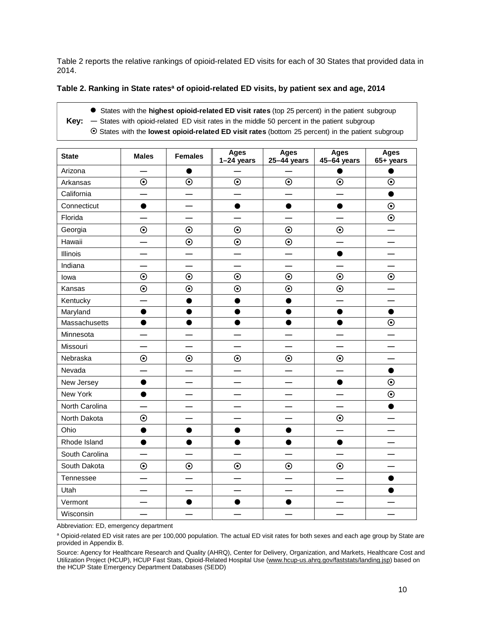Table 2 reports the relative rankings of opioid-related ED visits for each of 30 States that provided data in 2014.

# Table 2. Ranking in State rates<sup>a</sup> of opioid-related ED visits, by patient sex and age, 2014

States with the **highest opioid-related ED visit rates** (top 25 percent) in the patient subgroup

**Key:** — States with opioid-related ED visit rates in the middle 50 percent in the patient subgroup

States with the **lowest opioid-related ED visit rates** (bottom 25 percent) in the patient subgroup

| <b>State</b>   | <b>Males</b>       | <b>Females</b>     | <b>Ages</b><br>$1-24$ years | <b>Ages</b><br>$25 - 44$ years | <b>Ages</b><br>$45 - 64$ years | <b>Ages</b><br>65+ years |
|----------------|--------------------|--------------------|-----------------------------|--------------------------------|--------------------------------|--------------------------|
| Arizona        |                    |                    |                             |                                |                                |                          |
| Arkansas       | $\overline{\odot}$ | $\overline{\odot}$ | $\overline{\odot}$          | $\overline{\odot}$             | $\overline{\odot}$             | $\overline{\odot}$       |
| California     |                    |                    |                             |                                |                                | ●                        |
| Connecticut    | ●                  |                    | $\bullet$                   | ●                              | ●                              | $\odot$                  |
| Florida        |                    | —                  | —                           |                                |                                | $\odot$                  |
| Georgia        | $\odot$            | $\odot$            | $\odot$                     | $\odot$                        | $\odot$                        |                          |
| Hawaii         |                    | $\odot$            | $\odot$                     | $\odot$                        |                                |                          |
| Illinois       |                    |                    |                             |                                | $\bullet$                      |                          |
| Indiana        |                    |                    |                             |                                |                                |                          |
| lowa           | $\odot$            | $\odot$            | $\odot$                     | $\odot$                        | $\odot$                        | $\odot$                  |
| Kansas         | $\odot$            | $\odot$            | $\odot$                     | $\odot$                        | $\odot$                        |                          |
| Kentucky       |                    | $\bullet$          | $\bullet$                   | $\bullet$                      |                                |                          |
| Maryland       | $\bullet$          | $\bullet$          | $\bullet$                   | ●                              | $\bullet$                      |                          |
| Massachusetts  | O                  | 0                  | 0                           |                                | 0                              | $\overline{\odot}$       |
| Minnesota      |                    |                    |                             |                                |                                |                          |
| Missouri       |                    |                    |                             |                                |                                |                          |
| Nebraska       | $\odot$            | $\odot$            | $\odot$                     | $\odot$                        | $\odot$                        |                          |
| Nevada         |                    |                    |                             |                                |                                | $\bullet$                |
| New Jersey     | $\bullet$          |                    |                             |                                | $\bullet$                      | $\odot$                  |
| New York       | $\bullet$          |                    |                             |                                |                                | $\odot$                  |
| North Carolina |                    |                    |                             |                                |                                |                          |
| North Dakota   | $\odot$            |                    |                             |                                | $\odot$                        |                          |
| Ohio           | $\bullet$          | $\bullet$          | $\bullet$                   | ●                              |                                |                          |
| Rhode Island   | $\bullet$          | ●                  | ●                           | ●                              | $\bullet$                      |                          |
| South Carolina |                    |                    |                             |                                |                                |                          |
| South Dakota   | $\odot$            | $\odot$            | $\odot$                     | $\odot$                        | $\odot$                        |                          |
| Tennessee      |                    |                    |                             |                                |                                |                          |
| Utah           |                    |                    |                             |                                |                                |                          |
| Vermont        |                    | $\bullet$          | $\bullet$                   | ●                              |                                |                          |
| Wisconsin      |                    |                    |                             |                                |                                |                          |

Abbreviation: ED, emergency department

a Opioid-related ED visit rates are per 100,000 population. The actual ED visit rates for both sexes and each age group by State are provided in Appendix B.

Source: Agency for Healthcare Research and Quality (AHRQ), Center for Delivery, Organization, and Markets, Healthcare Cost and Utilization Project (HCUP), HCUP Fast Stats, Opioid-Related Hospital Use [\(www.hcup-us.ahrq.gov/faststats/landing.jsp\)](http://www.hcup-us.ahrq.gov/faststats/landing.jsp) based on the HCUP State Emergency Department Databases (SEDD)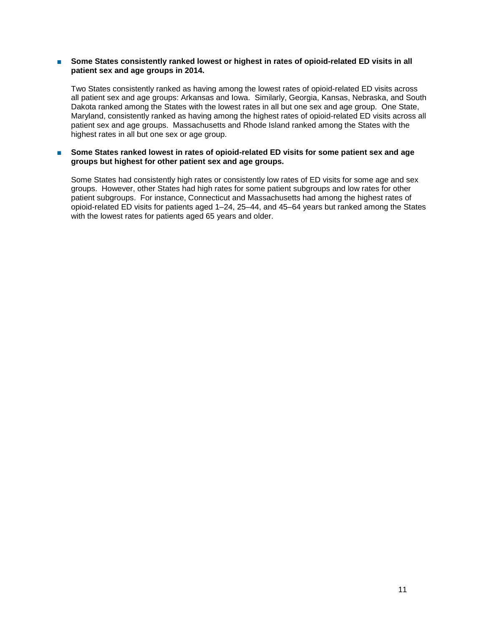#### ■ Some States consistently ranked lowest or highest in rates of opioid-related ED visits in all **patient sex and age groups in 2014.**

Two States consistently ranked as having among the lowest rates of opioid-related ED visits across all patient sex and age groups: Arkansas and Iowa. Similarly, Georgia, Kansas, Nebraska, and South Dakota ranked among the States with the lowest rates in all but one sex and age group. One State, Maryland, consistently ranked as having among the highest rates of opioid-related ED visits across all patient sex and age groups. Massachusetts and Rhode Island ranked among the States with the highest rates in all but one sex or age group.

#### ■ **Some States ranked lowest in rates of opioid-related ED visits for some patient sex and age groups but highest for other patient sex and age groups.**

Some States had consistently high rates or consistently low rates of ED visits for some age and sex groups. However, other States had high rates for some patient subgroups and low rates for other patient subgroups. For instance, Connecticut and Massachusetts had among the highest rates of opioid-related ED visits for patients aged 1–24, 25–44, and 45–64 years but ranked among the States with the lowest rates for patients aged 65 years and older.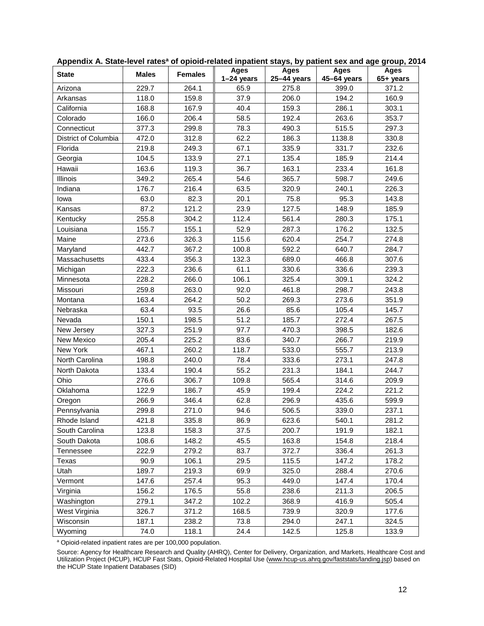| <b>State</b>         | <b>Males</b> | <b>Females</b> | <b>Ages</b><br>$1-24$ years | <b>Ages</b><br>$25 - 44$ years | <b>Ages</b><br>45-64 years | <b>Ages</b><br>65+ years |
|----------------------|--------------|----------------|-----------------------------|--------------------------------|----------------------------|--------------------------|
| Arizona              | 229.7        | 264.1          | 65.9                        | 275.8                          | 399.0                      | 371.2                    |
| Arkansas             | 118.0        | 159.8          | 37.9                        | 206.0                          | 194.2                      | 160.9                    |
| California           | 168.8        | 167.9          | 40.4                        | 159.3                          | 286.1                      | 303.1                    |
| Colorado             | 166.0        | 206.4          | 58.5                        | 192.4                          | 263.6                      | 353.7                    |
| Connecticut          | 377.3        | 299.8          | 78.3                        | 490.3                          | 515.5                      | 297.3                    |
| District of Columbia | 472.0        | 312.8          | 62.2                        | 186.3                          | 1138.8                     | 330.8                    |
| Florida              | 219.8        | 249.3          | 67.1                        | 335.9                          | 331.7                      | 232.6                    |
| Georgia              | 104.5        | 133.9          | 27.1                        | 135.4                          | 185.9                      | 214.4                    |
| Hawaii               | 163.6        | 119.3          | 36.7                        | 163.1                          | 233.4                      | 161.8                    |
| Illinois             | 349.2        | 265.4          | 54.6                        | 365.7                          | 598.7                      | 249.6                    |
| Indiana              | 176.7        | 216.4          | 63.5                        | 320.9                          | 240.1                      | 226.3                    |
| lowa                 | 63.0         | 82.3           | 20.1                        | 75.8                           | 95.3                       | 143.8                    |
| Kansas               | 87.2         | 121.2          | 23.9                        | 127.5                          | 148.9                      | 185.9                    |
| Kentucky             | 255.8        | 304.2          | 112.4                       | 561.4                          | 280.3                      | 175.1                    |
| Louisiana            | 155.7        | 155.1          | 52.9                        | 287.3                          | 176.2                      | 132.5                    |
| Maine                | 273.6        | 326.3          | 115.6                       | 620.4                          | 254.7                      | 274.8                    |
| Maryland             | 442.7        | 367.2          | 100.8                       | 592.2                          | 640.7                      | 284.7                    |
| Massachusetts        | 433.4        | 356.3          | 132.3                       | 689.0                          | 466.8                      | 307.6                    |
| Michigan             | 222.3        | 236.6          | 61.1                        | 330.6                          | 336.6                      | 239.3                    |
| Minnesota            | 228.2        | 266.0          | 106.1                       | 325.4                          | 309.1                      | 324.2                    |
| Missouri             | 259.8        | 263.0          | 92.0                        | 461.8                          | 298.7                      | 243.8                    |
| Montana              | 163.4        | 264.2          | 50.2                        | 269.3                          | 273.6                      | 351.9                    |
| Nebraska             | 63.4         | 93.5           | 26.6                        | 85.6                           | 105.4                      | 145.7                    |
| Nevada               | 150.1        | 198.5          | 51.2                        | 185.7                          | 272.4                      | 267.5                    |
| New Jersey           | 327.3        | 251.9          | 97.7                        | 470.3                          | 398.5                      | 182.6                    |
| New Mexico           | 205.4        | 225.2          | 83.6                        | 340.7                          | 266.7                      | 219.9                    |
| New York             | 467.1        | 260.2          | 118.7                       | 533.0                          | 555.7                      | 213.9                    |
| North Carolina       | 198.8        | 240.0          | 78.4                        | 333.6                          | 273.1                      | 247.8                    |
| North Dakota         | 133.4        | 190.4          | 55.2                        | 231.3                          | 184.1                      | 244.7                    |
| Ohio                 | 276.6        | 306.7          | 109.8                       | 565.4                          | 314.6                      | 209.9                    |
| Oklahoma             | 122.9        | 186.7          | 45.9                        | 199.4                          | 224.2                      | 221.2                    |
| Oregon               | 266.9        | 346.4          | 62.8                        | 296.9                          | 435.6                      | 599.9                    |
| Pennsylvania         | 299.8        | 271.0          | 94.6                        | 506.5                          | 339.0                      | 237.1                    |
| Rhode Island         | 421.8        | 335.8          | 86.9                        | 623.6                          | 540.1                      | 281.2                    |
| South Carolina       | 123.8        | 158.3          | 37.5                        | 200.7                          | 191.9                      | 182.1                    |
| South Dakota         | 108.6        | 148.2          | 45.5                        | 163.8                          | 154.8                      | 218.4                    |
| <b>Tennessee</b>     | 222.9        | 279.2          | 83.7                        | 372.7                          | 336.4                      | 261.3                    |
| Texas                | 90.9         | 106.1          | 29.5                        | 115.5                          | 147.2                      | 178.2                    |
| Utah                 | 189.7        | 219.3          | 69.9                        | 325.0                          | 288.4                      | 270.6                    |
| Vermont              | 147.6        | 257.4          | 95.3                        | 449.0                          | 147.4                      | 170.4                    |
| Virginia             | 156.2        | 176.5          | 55.8                        | 238.6                          | 211.3                      | 206.5                    |
| Washington           | 279.1        | 347.2          | 102.2                       | 368.9                          | 416.9                      | 505.4                    |
| West Virginia        | 326.7        | 371.2          | 168.5                       | 739.9                          | 320.9                      | 177.6                    |
| Wisconsin            | 187.1        | 238.2          | 73.8                        | 294.0                          | 247.1                      | 324.5                    |
| Wyoming              | 74.0         | 118.1          | 24.4                        | 142.5                          | 125.8                      | 133.9                    |

Appendix A. State-level rates<sup>a</sup> of opioid-related inpatient stays, by patient sex and age group, 2014

<sup>a</sup> Opioid-related inpatient rates are per 100,000 population.

Source: Agency for Healthcare Research and Quality (AHRQ), Center for Delivery, Organization, and Markets, Healthcare Cost and Utilization Project (HCUP), HCUP Fast Stats, Opioid-Related Hospital Use (<u>www.hcup-us.ahrq.gov/faststats/landing.jsp</u>) based on the HCUP State Inpatient Databases (SID)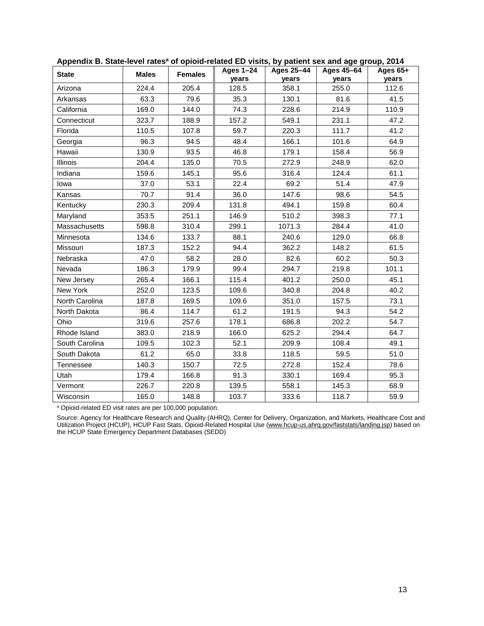| <b>State</b>         | <b>Males</b> | <b>Females</b> | Ages $1-\overline{24}$<br>years | Ages 25-44<br>years | Ages 45-64<br>years | Ages $65+$<br>years |
|----------------------|--------------|----------------|---------------------------------|---------------------|---------------------|---------------------|
| Arizona              | 224.4        | 205.4          | 128.5                           | 358.1               | 255.0               | 112.6               |
| Arkansas             | 63.3         | 79.6           | 35.3                            | 130.1               | 81.6                | 41.5                |
| California           | 169.0        | 144.0          | 74.3                            | 228.6               | 214.9               | 110.9               |
| Connecticut          | 323.7        | 188.9          | 157.2                           | 549.1               | 231.1               | 47.2                |
| Florida              | 110.5        | 107.8          | 59.7                            | 220.3               | 111.7               | 41.2                |
| Georgia              | 96.3         | 94.5           | 48.4                            | 166.1               | 101.6               | 64.9                |
| Hawaii               | 130.9        | 93.5           | 46.8                            | 179.1               | 158.4               | 56.9                |
| Illinois             | 204.4        | 135.0          | 70.5                            | 272.9               | 248.9               | 62.0                |
| Indiana              | 159.6        | 145.1          | 95.6                            | 316.4               | 124.4               | 61.1                |
| lowa                 | 37.0         | 53.1           | 22.4                            | 69.2                | 51.4                | 47.9                |
| Kansas               | 70.7         | 91.4           | 36.0                            | 147.6               | 98.6                | 54.5                |
| Kentucky             | 230.3        | 209.4          | 131.8                           | 494.1               | 159.8               | 60.4                |
| Maryland             | 353.5        | 251.1          | 146.9                           | 510.2               | 398.3               | 77.1                |
| <b>Massachusetts</b> | 598.8        | 310.4          | 299.1                           | 1071.3              | 284.4               | 41.0                |
| Minnesota            | 134.6        | 133.7          | 88.1                            | 240.6               | 129.0               | 66.8                |
| <b>Missouri</b>      | 187.3        | 152.2          | 94.4                            | 362.2               | 148.2               | 61.5                |
| Nebraska             | 47.0         | 58.2           | 28.0                            | 82.6                | 60.2                | 50.3                |
| Nevada               | 186.3        | 179.9          | 99.4                            | 294.7               | 219.8               | 101.1               |
| New Jersey           | 265.4        | 166.1          | 115.4                           | 401.2               | 250.0               | 45.1                |
| New York             | 252.0        | 123.5          | 109.6                           | 340.8               | 204.8               | 40.2                |
| North Carolina       | 187.8        | 169.5          | 109.6                           | 351.0               | 157.5               | 73.1                |
| North Dakota         | 86.4         | 114.7          | 61.2                            | 191.5               | 94.3                | 54.2                |
| Ohio                 | 319.6        | 257.6          | 178.1                           | 686.8               | 202.2               | 54.7                |
| Rhode Island         | 383.0        | 218.9          | 166.0                           | 625.2               | 294.4               | 64.7                |
| South Carolina       | 109.5        | 102.3          | 52.1                            | 209.9               | 108.4               | 49.1                |
| South Dakota         | 61.2         | 65.0           | 33.8                            | 118.5               | 59.5                | 51.0                |
| Tennessee            | 140.3        | 150.7          | 72.5                            | 272.8               | 152.4               | 78.6                |
| Utah                 | 179.4        | 166.8          | 91.3                            | 330.1               | 169.4               | 95.3                |
| Vermont              | 226.7        | 220.8          | 139.5                           | 558.1               | 145.3               | 68.9                |
| Wisconsin            | 165.0        | 148.8          | 103.7                           | 333.6               | 118.7               | 59.9                |

Appendix B. State-level rates<sup>a</sup> of opioid-related ED visits, by patient sex and age group, 2014

<sup>a</sup> Opioid-related ED visit rates are per 100,000 population.

Source: Agency for Healthcare Research and Quality (AHRQ), Center for Delivery, Organization, and Markets, Healthcare Cost and Utilization Project (HCUP), HCUP Fast Stats, Opioid-Related Hospital Use (<u>www.hcup-us.ahrq.gov/faststats/landing.jsp</u>) based on the HCUP State Emergency Department Databases (SEDD)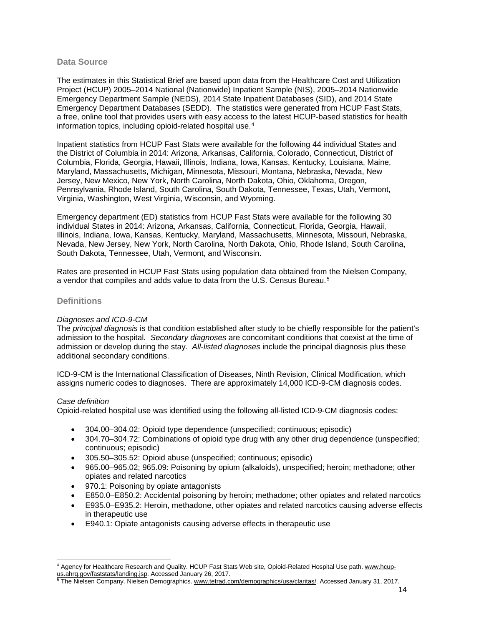#### **Data Source**

The estimates in this Statistical Brief are based upon data from the Healthcare Cost and Utilization Project (HCUP) 2005–2014 National (Nationwide) Inpatient Sample (NIS), 2005–2014 Nationwide Emergency Department Sample (NEDS), 2014 State Inpatient Databases (SID), and 2014 State Emergency Department Databases (SEDD). The statistics were generated from HCUP Fast Stats, a free, online tool that provides users with easy access to the latest HCUP-based statistics for health information topics, including opioid-related hospital use.[4](#page-13-0) 

Inpatient statistics from HCUP Fast Stats were available for the following 44 individual States and the District of Columbia in 2014: Arizona, Arkansas, California, Colorado, Connecticut, District of Columbia, Florida, Georgia, Hawaii, Illinois, Indiana, Iowa, Kansas, Kentucky, Louisiana, Maine, Maryland, Massachusetts, Michigan, Minnesota, Missouri, Montana, Nebraska, Nevada, New Jersey, New Mexico, New York, North Carolina, North Dakota, Ohio, Oklahoma, Oregon, Pennsylvania, Rhode Island, South Carolina, South Dakota, Tennessee, Texas, Utah, Vermont, Virginia, Washington, West Virginia, Wisconsin, and Wyoming.

Emergency department (ED) statistics from HCUP Fast Stats were available for the following 30 individual States in 2014: Arizona, Arkansas, California, Connecticut, Florida, Georgia, Hawaii, Illinois, Indiana, Iowa, Kansas, Kentucky, Maryland, Massachusetts, Minnesota, Missouri, Nebraska, Nevada, New Jersey, New York, North Carolina, North Dakota, Ohio, Rhode Island, South Carolina, South Dakota, Tennessee, Utah, Vermont, and Wisconsin.

Rates are presented in HCUP Fast Stats using population data obtained from the Nielsen Company, a vendor that compiles and adds value to data from the U.S. Census Bureau.[5](#page-13-1)

# **Definitions**

#### *Diagnoses and ICD-9-CM*

The *principal diagnosis* is that condition established after study to be chiefly responsible for the patient's admission to the hospital. *Secondary diagnoses* are concomitant conditions that coexist at the time of admission or develop during the stay. *All-listed diagnoses* include the principal diagnosis plus these additional secondary conditions.

ICD-9-CM is the International Classification of Diseases, Ninth Revision, Clinical Modification, which assigns numeric codes to diagnoses. There are approximately 14,000 ICD-9-CM diagnosis codes.

#### *Case definition*

Opioid-related hospital use was identified using the following all-listed ICD-9-CM diagnosis codes:

- 304.00–304.02: Opioid type dependence (unspecified; continuous; episodic)
- 304.70–304.72: Combinations of opioid type drug with any other drug dependence (unspecified; continuous; episodic)
- 305.50–305.52: Opioid abuse (unspecified; continuous; episodic)
- 965.00–965.02; 965.09: Poisoning by opium (alkaloids), unspecified; heroin; methadone; other opiates and related narcotics
- 970.1: Poisoning by opiate antagonists
- E850.0–E850.2: Accidental poisoning by heroin; methadone; other opiates and related narcotics
- E935.0–E935.2: Heroin, methadone, other opiates and related narcotics causing adverse effects in therapeutic use
- E940.1: Opiate antagonists causing adverse effects in therapeutic use

<span id="page-13-0"></span> <sup>4</sup> Agency for Healthcare Research and Quality. HCUP Fast Stats Web site, Opioid-Related Hospital Use path. [www.hcup](http://www.hcup-us.ahrq.gov/faststats/landing.jsp)[us.ahrq.gov/faststats/landing.jsp.](http://www.hcup-us.ahrq.gov/faststats/landing.jsp) Accessed January 26, 2017.

<span id="page-13-1"></span><sup>&</sup>lt;sup>5</sup> The Nielsen Company. Nielsen Demographics. <u>www.tetrad.com/demographics/usa/claritas/</u>. Accessed January 31, 2017.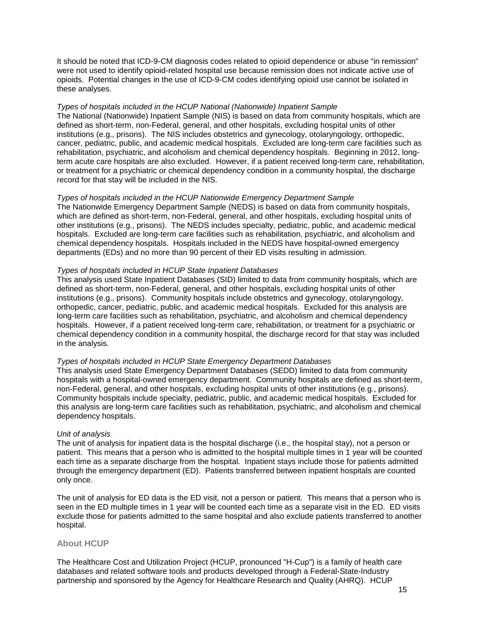It should be noted that ICD-9-CM diagnosis codes related to opioid dependence or abuse "in remission" were not used to identify opioid-related hospital use because remission does not indicate active use of opioids. Potential changes in the use of ICD-9-CM codes identifying opioid use cannot be isolated in these analyses.

#### *Types of hospitals included in the HCUP National (Nationwide) Inpatient Sample*

The National (Nationwide) Inpatient Sample (NIS) is based on data from community hospitals, which are defined as short-term, non-Federal, general, and other hospitals, excluding hospital units of other institutions (e.g., prisons). The NIS includes obstetrics and gynecology, otolaryngology, orthopedic, cancer, pediatric, public, and academic medical hospitals. Excluded are long-term care facilities such as rehabilitation, psychiatric, and alcoholism and chemical dependency hospitals. Beginning in 2012, longterm acute care hospitals are also excluded. However, if a patient received long-term care, rehabilitation, or treatment for a psychiatric or chemical dependency condition in a community hospital, the discharge record for that stay will be included in the NIS.

#### *Types of hospitals included in the HCUP Nationwide Emergency Department Sample*

The Nationwide Emergency Department Sample (NEDS) is based on data from community hospitals, which are defined as short-term, non-Federal, general, and other hospitals, excluding hospital units of other institutions (e.g., prisons). The NEDS includes specialty, pediatric, public, and academic medical hospitals. Excluded are long-term care facilities such as rehabilitation, psychiatric, and alcoholism and chemical dependency hospitals. Hospitals included in the NEDS have hospital-owned emergency departments (EDs) and no more than 90 percent of their ED visits resulting in admission.

#### *Types of hospitals included in HCUP State Inpatient Databases*

This analysis used State Inpatient Databases (SID) limited to data from community hospitals, which are defined as short-term, non-Federal, general, and other hospitals, excluding hospital units of other institutions (e.g., prisons). Community hospitals include obstetrics and gynecology, otolaryngology, orthopedic, cancer, pediatric, public, and academic medical hospitals. Excluded for this analysis are long-term care facilities such as rehabilitation, psychiatric, and alcoholism and chemical dependency hospitals. However, if a patient received long-term care, rehabilitation, or treatment for a psychiatric or chemical dependency condition in a community hospital, the discharge record for that stay was included in the analysis.

#### *Types of hospitals included in HCUP State Emergency Department Databases*

This analysis used State Emergency Department Databases (SEDD) limited to data from community hospitals with a hospital-owned emergency department. Community hospitals are defined as short-term, non-Federal, general, and other hospitals, excluding hospital units of other institutions (e.g., prisons). Community hospitals include specialty, pediatric, public, and academic medical hospitals. Excluded for this analysis are long-term care facilities such as rehabilitation, psychiatric, and alcoholism and chemical dependency hospitals.

#### *Unit of analysis*

The unit of analysis for inpatient data is the hospital discharge (i.e., the hospital stay), not a person or patient. This means that a person who is admitted to the hospital multiple times in 1 year will be counted each time as a separate discharge from the hospital. Inpatient stays include those for patients admitted through the emergency department (ED). Patients transferred between inpatient hospitals are counted only once.

The unit of analysis for ED data is the ED visit, not a person or patient. This means that a person who is seen in the ED multiple times in 1 year will be counted each time as a separate visit in the ED. ED visits exclude those for patients admitted to the same hospital and also exclude patients transferred to another hospital.

# **About HCUP**

The Healthcare Cost and Utilization Project (HCUP, pronounced "H-Cup") is a family of health care databases and related software tools and products developed through a Federal-State-Industry partnership and sponsored by the Agency for Healthcare Research and Quality (AHRQ). HCUP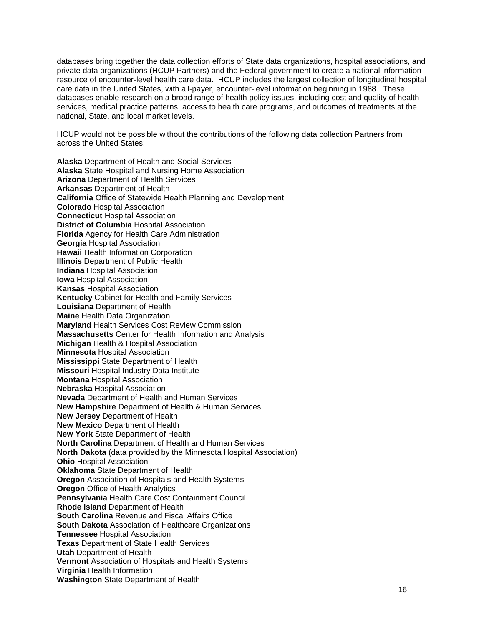databases bring together the data collection efforts of State data organizations, hospital associations, and private data organizations (HCUP Partners) and the Federal government to create a national information resource of encounter-level health care data. HCUP includes the largest collection of longitudinal hospital care data in the United States, with all-payer, encounter-level information beginning in 1988. These databases enable research on a broad range of health policy issues, including cost and quality of health services, medical practice patterns, access to health care programs, and outcomes of treatments at the national, State, and local market levels.

HCUP would not be possible without the contributions of the following data collection Partners from across the United States:

**Alaska** Department of Health and Social Services **Alaska** State Hospital and Nursing Home Association **Arizona** Department of Health Services **Arkansas** Department of Health **California** Office of Statewide Health Planning and Development **Colorado** Hospital Association **Connecticut** Hospital Association **District of Columbia** Hospital Association **Florida** Agency for Health Care Administration **Georgia** Hospital Association **Hawaii** Health Information Corporation **Illinois** Department of Public Health **Indiana** Hospital Association **Iowa** Hospital Association **Kansas** Hospital Association **Kentucky** Cabinet for Health and Family Services **Louisiana** Department of Health **Maine** Health Data Organization **Maryland** Health Services Cost Review Commission **Massachusetts** Center for Health Information and Analysis **Michigan** Health & Hospital Association **Minnesota** Hospital Association **Mississippi** State Department of Health **Missouri** Hospital Industry Data Institute **Montana** Hospital Association **Nebraska** Hospital Association **Nevada** Department of Health and Human Services **New Hampshire** Department of Health & Human Services **New Jersey** Department of Health **New Mexico** Department of Health **New York** State Department of Health **North Carolina** Department of Health and Human Services **North Dakota** (data provided by the Minnesota Hospital Association) **Ohio** Hospital Association **Oklahoma** State Department of Health **Oregon** Association of Hospitals and Health Systems **Oregon** Office of Health Analytics **Pennsylvania** Health Care Cost Containment Council **Rhode Island** Department of Health **South Carolina** Revenue and Fiscal Affairs Office **South Dakota** Association of Healthcare Organizations **Tennessee** Hospital Association **Texas** Department of State Health Services **Utah** Department of Health **Vermont** Association of Hospitals and Health Systems **Virginia** Health Information **Washington** State Department of Health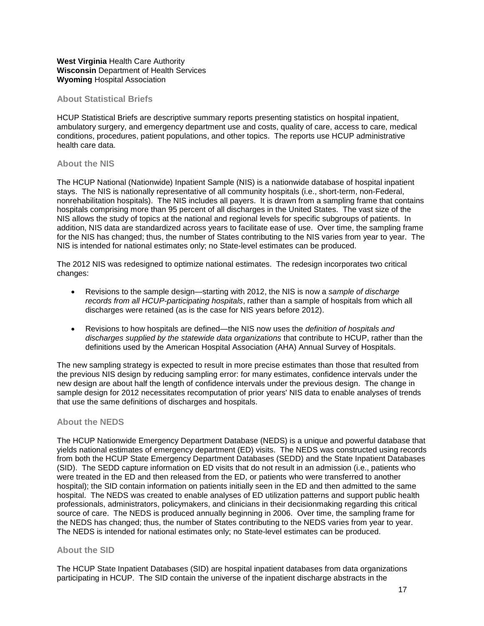#### **West Virginia** Health Care Authority **Wisconsin** Department of Health Services **Wyoming** Hospital Association

# **About Statistical Briefs**

HCUP Statistical Briefs are descriptive summary reports presenting statistics on hospital inpatient, ambulatory surgery, and emergency department use and costs, quality of care, access to care, medical conditions, procedures, patient populations, and other topics. The reports use HCUP administrative health care data.

# **About the NIS**

The HCUP National (Nationwide) Inpatient Sample (NIS) is a nationwide database of hospital inpatient stays. The NIS is nationally representative of all community hospitals (i.e., short-term, non-Federal, nonrehabilitation hospitals). The NIS includes all payers. It is drawn from a sampling frame that contains hospitals comprising more than 95 percent of all discharges in the United States. The vast size of the NIS allows the study of topics at the national and regional levels for specific subgroups of patients. In addition, NIS data are standardized across years to facilitate ease of use. Over time, the sampling frame for the NIS has changed; thus, the number of States contributing to the NIS varies from year to year. The NIS is intended for national estimates only; no State-level estimates can be produced.

The 2012 NIS was redesigned to optimize national estimates. The redesign incorporates two critical changes:

- Revisions to the sample design—starting with 2012, the NIS is now a *sample of discharge records from all HCUP-participating hospitals*, rather than a sample of hospitals from which all discharges were retained (as is the case for NIS years before 2012).
- Revisions to how hospitals are defined—the NIS now uses the *definition of hospitals and discharges supplied by the statewide data organizations* that contribute to HCUP, rather than the definitions used by the American Hospital Association (AHA) Annual Survey of Hospitals.

The new sampling strategy is expected to result in more precise estimates than those that resulted from the previous NIS design by reducing sampling error: for many estimates, confidence intervals under the new design are about half the length of confidence intervals under the previous design. The change in sample design for 2012 necessitates recomputation of prior years' NIS data to enable analyses of trends that use the same definitions of discharges and hospitals.

# **About the NEDS**

The HCUP Nationwide Emergency Department Database (NEDS) is a unique and powerful database that yields national estimates of emergency department (ED) visits. The NEDS was constructed using records from both the HCUP State Emergency Department Databases (SEDD) and the State Inpatient Databases (SID). The SEDD capture information on ED visits that do not result in an admission (i.e., patients who were treated in the ED and then released from the ED, or patients who were transferred to another hospital); the SID contain information on patients initially seen in the ED and then admitted to the same hospital. The NEDS was created to enable analyses of ED utilization patterns and support public health professionals, administrators, policymakers, and clinicians in their decisionmaking regarding this critical source of care. The NEDS is produced annually beginning in 2006. Over time, the sampling frame for the NEDS has changed; thus, the number of States contributing to the NEDS varies from year to year. The NEDS is intended for national estimates only; no State-level estimates can be produced.

# **About the SID**

The HCUP State Inpatient Databases (SID) are hospital inpatient databases from data organizations participating in HCUP. The SID contain the universe of the inpatient discharge abstracts in the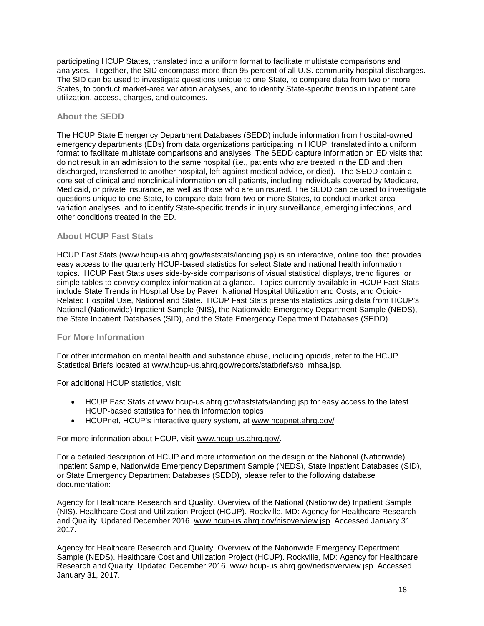participating HCUP States, translated into a uniform format to facilitate multistate comparisons and analyses. Together, the SID encompass more than 95 percent of all U.S. community hospital discharges. The SID can be used to investigate questions unique to one State, to compare data from two or more States, to conduct market-area variation analyses, and to identify State-specific trends in inpatient care utilization, access, charges, and outcomes.

# **About the SEDD**

The HCUP State Emergency Department Databases (SEDD) include information from hospital-owned emergency departments (EDs) from data organizations participating in HCUP, translated into a uniform format to facilitate multistate comparisons and analyses. The SEDD capture information on ED visits that do not result in an admission to the same hospital (i.e., patients who are treated in the ED and then discharged, transferred to another hospital, left against medical advice, or died). The SEDD contain a core set of clinical and nonclinical information on all patients, including individuals covered by Medicare, Medicaid, or private insurance, as well as those who are uninsured. The SEDD can be used to investigate questions unique to one State, to compare data from two or more States, to conduct market-area variation analyses, and to identify State-specific trends in injury surveillance, emerging infections, and other conditions treated in the ED.

# **About HCUP Fast Stats**

HCUP Fast Stats [\(www.hcup-us.ahrq.gov/faststats/landing.jsp\)](http://www.hcup-us.ahrq.gov/faststats/landing.jsp) is an interactive, online tool that provides easy access to the quarterly HCUP-based statistics for select State and national health information topics. HCUP Fast Stats uses side-by-side comparisons of visual statistical displays, trend figures, or simple tables to convey complex information at a glance. Topics currently available in HCUP Fast Stats include State Trends in Hospital Use by Payer; National Hospital Utilization and Costs; and Opioid-Related Hospital Use, National and State. HCUP Fast Stats presents statistics using data from HCUP's National (Nationwide) Inpatient Sample (NIS), the Nationwide Emergency Department Sample (NEDS), the State Inpatient Databases (SID), and the State Emergency Department Databases (SEDD).

# **For More Information**

For other information on mental health and substance abuse, including opioids, refer to the HCUP Statistical Briefs located at [www.hcup-us.ahrq.gov/reports/statbriefs/sb\\_mhsa.jsp.](http://www.hcup-us.ahrq.gov/reports/statbriefs/sb_mhsa.jsp)

For additional HCUP statistics, visit:

- HCUP Fast Stats at [www.hcup-us.ahrq.gov/faststats/landing.jsp](http://www.hcup-us.ahrq.gov/faststats/landing.jsp) for easy access to the latest HCUP-based statistics for health information topics
- HCUPnet, HCUP's interactive query system, at [www.hcupnet.ahrq.gov/](http://www.hcupnet.ahrq.gov/)

For more information about HCUP, visit [www.hcup-us.ahrq.gov/.](http://www.hcup-us.ahrq.gov/)

For a detailed description of HCUP and more information on the design of the National (Nationwide) Inpatient Sample, Nationwide Emergency Department Sample (NEDS), State Inpatient Databases (SID), or State Emergency Department Databases (SEDD), please refer to the following database documentation:

Agency for Healthcare Research and Quality. Overview of the National (Nationwide) Inpatient Sample (NIS). Healthcare Cost and Utilization Project (HCUP). Rockville, MD: Agency for Healthcare Research and Quality. Updated December 2016. [www.hcup-us.ahrq.gov/nisoverview.jsp.](http://www.hcup-us.ahrq.gov/nisoverview.jsp) Accessed January 31, 2017.

Agency for Healthcare Research and Quality. Overview of the Nationwide Emergency Department Sample (NEDS). Healthcare Cost and Utilization Project (HCUP). Rockville, MD: Agency for Healthcare Research and Quality. Updated December 2016. [www.hcup-us.ahrq.gov/nedsoverview.jsp.](http://www.hcup-us.ahrq.gov/nedsoverview.jsp) Accessed January 31, 2017.